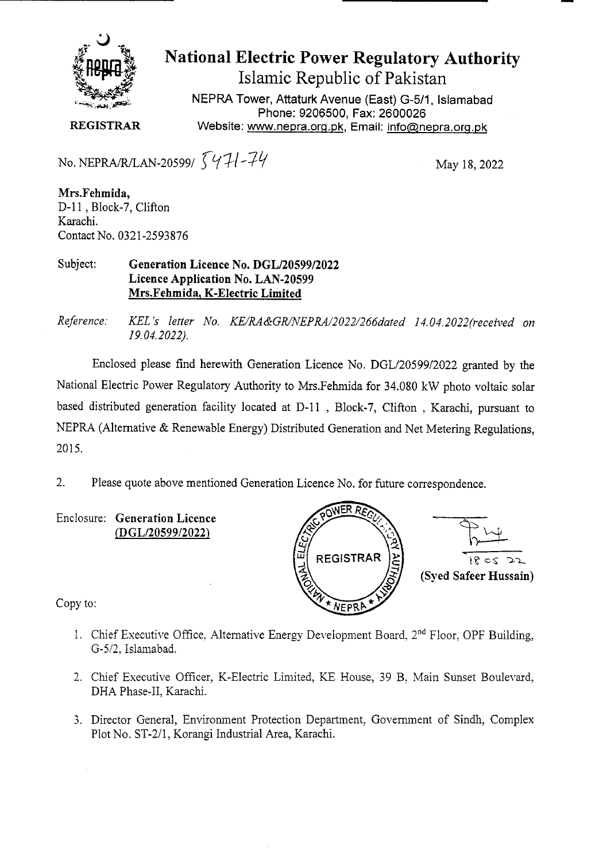

# **National Electric Power Regulatory Authority Islamic Republic of Pakistan**

NEPRA Tower, Attaturk Avenue (East) G-5/1, Islamabad Phone: 9206500, Fax: 2600026 **REGISTRAR** Website: www.nepra.org.pk, Email: info@nepra.org.pk

No. NEPRA/R/LAN-20599/  $\sqrt{41-74}$  May 18, 2022

**Mrs.Fehmida,**  D-11, Block-7, Clifton Karachi. Contact No. 0321-2593876

#### Subject: **Generation Licence No. DGL/20599/2022 Licence Application No. LAN-20599 Mrs.Fehmida, K-Electric Limited**

*Reference. KEL 's letter No. KE/RA&GR/NEPRA/2022/266dated 14.04. 2022('received on 19.04.2022).* 

Enclosed please find herewith Generation Licence No. DGL/20599/2022 granted by the National Electric Power Regulatory Authority to Mrs.Fehmida for 34.080 kW photo voltaic solar based distributed generation facility located at D-11, Block-7, Clifton, Karachi, pursuant to NEPRA (Alternative & Renewable Energy) Distributed Generation and Net Metering Regulations, 2015.

2. Please quote above mentioned Generation Licence No. for future correspondence.

Enclosure: **Generation Licence**  *(DGL/2059912022)* 



Copy to:

- 1. Chief Executive Office, Alternative Energy Development Board,  $2<sup>nd</sup>$  Floor. OPF Building, G-5/2. Islamabad.
- 2. Chief Executive Officer, K-Electric Limited, KE House, 39 B. Main Sunset Boulevard, DHA Phase-Il, Karachi.
- 3. Director General, Environment Protection Department, Government of Sindh, Complex Plot No. ST-2/1, Korangi Industrial Area, Karachi.